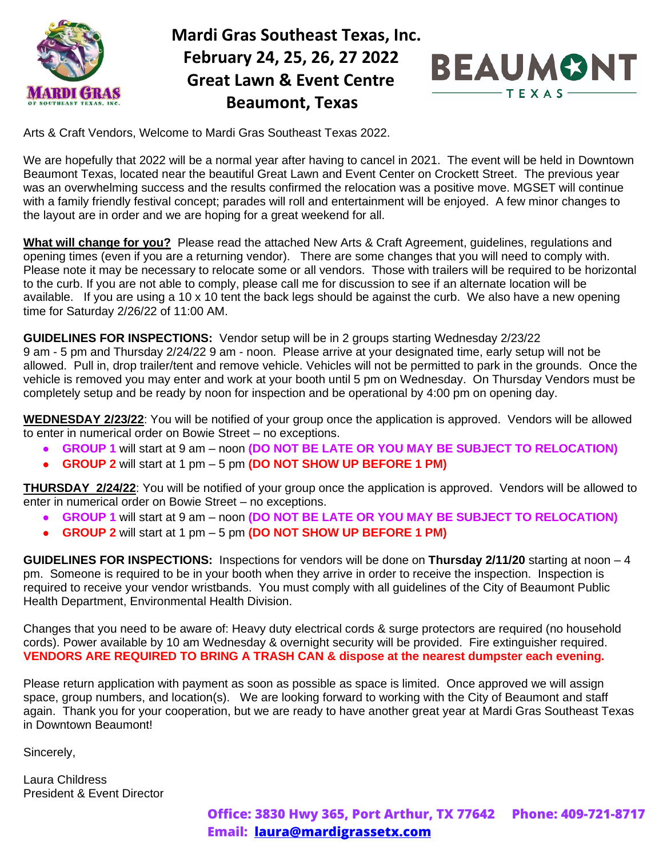

### **Mardi Gras Southeast Texas, Inc. February 24, 25, 26, 27 2022 Great Lawn & Event Centre Beaumont, Texas**



Arts & Craft Vendors, Welcome to Mardi Gras Southeast Texas 2022.

We are hopefully that 2022 will be a normal year after having to cancel in 2021. The event will be held in Downtown Beaumont Texas, located near the beautiful Great Lawn and Event Center on Crockett Street. The previous year was an overwhelming success and the results confirmed the relocation was a positive move. MGSET will continue with a family friendly festival concept; parades will roll and entertainment will be enjoyed. A few minor changes to the layout are in order and we are hoping for a great weekend for all.

**What will change for you?** Please read the attached New Arts & Craft Agreement, guidelines, regulations and opening times (even if you are a returning vendor). There are some changes that you will need to comply with. Please note it may be necessary to relocate some or all vendors. Those with trailers will be required to be horizontal to the curb. If you are not able to comply, please call me for discussion to see if an alternate location will be available. If you are using a 10 x 10 tent the back legs should be against the curb. We also have a new opening time for Saturday 2/26/22 of 11:00 AM.

**GUIDELINES FOR INSPECTIONS:** Vendor setup will be in 2 groups starting Wednesday 2/23/22

9 am - 5 pm and Thursday 2/24/22 9 am - noon. Please arrive at your designated time, early setup will not be allowed. Pull in, drop trailer/tent and remove vehicle. Vehicles will not be permitted to park in the grounds. Once the vehicle is removed you may enter and work at your booth until 5 pm on Wednesday. On Thursday Vendors must be completely setup and be ready by noon for inspection and be operational by 4:00 pm on opening day.

**WEDNESDAY 2/23/22**: You will be notified of your group once the application is approved. Vendors will be allowed to enter in numerical order on Bowie Street – no exceptions.

- **GROUP 1** will start at 9 am noon **(DO NOT BE LATE OR YOU MAY BE SUBJECT TO RELOCATION)**
- **GROUP 2** will start at 1 pm 5 pm **(DO NOT SHOW UP BEFORE 1 PM)**

**THURSDAY 2/24/22**: You will be notified of your group once the application is approved. Vendors will be allowed to enter in numerical order on Bowie Street – no exceptions.

- **GROUP 1** will start at 9 am noon **(DO NOT BE LATE OR YOU MAY BE SUBJECT TO RELOCATION)**
- **GROUP 2** will start at 1 pm 5 pm **(DO NOT SHOW UP BEFORE 1 PM)**

**GUIDELINES FOR INSPECTIONS:** Inspections for vendors will be done on **Thursday 2/11/20** starting at noon – 4 pm. Someone is required to be in your booth when they arrive in order to receive the inspection. Inspection is required to receive your vendor wristbands. You must comply with all guidelines of the City of Beaumont Public Health Department, Environmental Health Division.

Changes that you need to be aware of: Heavy duty electrical cords & surge protectors are required (no household cords). Power available by 10 am Wednesday & overnight security will be provided. Fire extinguisher required. **VENDORS ARE REQUIRED TO BRING A TRASH CAN & dispose at the nearest dumpster each evening.**

Please return application with payment as soon as possible as space is limited. Once approved we will assign space, group numbers, and location(s). We are looking forward to working with the City of Beaumont and staff again. Thank you for your cooperation, but we are ready to have another great year at Mardi Gras Southeast Texas in Downtown Beaumont!

Sincerely,

Laura Childress President & Event Director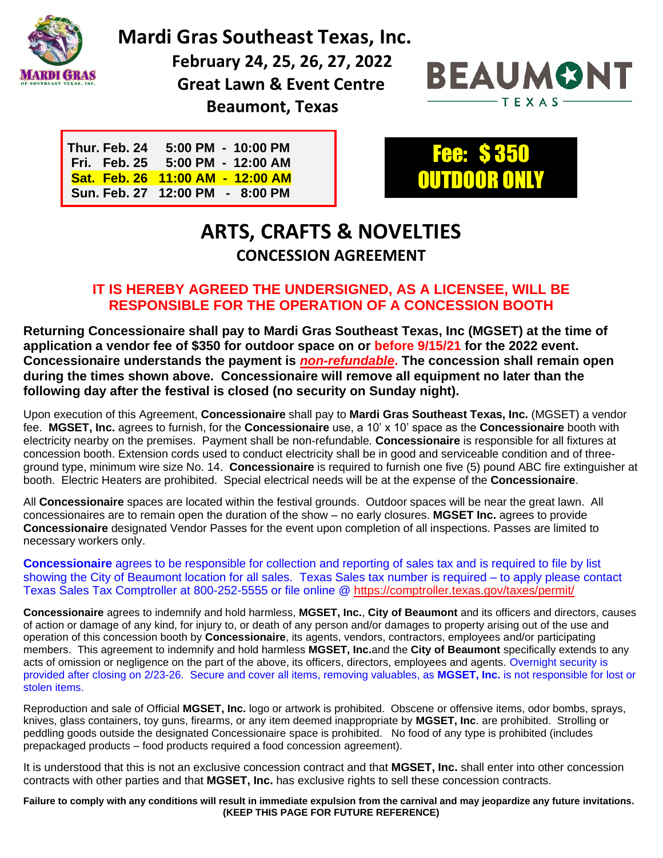

 **Mardi Gras Southeast Texas, Inc.**

 **February 24, 25, 26, 27, 2022 Great Lawn & Event Centre Beaumont, Texas**



| Thur. Feb. 24 5:00 PM - 10:00 PM |
|----------------------------------|
| Fri. Feb. 25 5:00 PM - 12:00 AM  |
| Sat. Feb. 26 11:00 AM - 12:00 AM |
| Sun. Feb. 27 12:00 PM - 8:00 PM  |



## **ARTS, CRAFTS & NOVELTIES CONCESSION AGREEMENT**

#### **IT IS HEREBY AGREED THE UNDERSIGNED, AS A LICENSEE, WILL BE RESPONSIBLE FOR THE OPERATION OF A CONCESSION BOOTH**

**Returning Concessionaire shall pay to Mardi Gras Southeast Texas, Inc (MGSET) at the time of application a vendor fee of \$350 for outdoor space on or before 9/15/21 for the 2022 event. Concessionaire understands the payment is** *non-refundable***. The concession shall remain open during the times shown above. Concessionaire will remove all equipment no later than the following day after the festival is closed (no security on Sunday night).**

Upon execution of this Agreement, **Concessionaire** shall pay to **Mardi Gras Southeast Texas, Inc.** (MGSET) a vendor fee. **MGSET, Inc.** agrees to furnish, for the **Concessionaire** use, a 10' x 10' space as the **Concessionaire** booth with electricity nearby on the premises. Payment shall be non-refundable*.* **Concessionaire** is responsible for all fixtures at concession booth. Extension cords used to conduct electricity shall be in good and serviceable condition and of threeground type, minimum wire size No. 14. **Concessionaire** is required to furnish one five (5) pound ABC fire extinguisher at booth. Electric Heaters are prohibited. Special electrical needs will be at the expense of the **Concessionaire**.

All **Concessionaire** spaces are located within the festival grounds. Outdoor spaces will be near the great lawn. All concessionaires are to remain open the duration of the show – no early closures. **MGSET Inc.** agrees to provide **Concessionaire** designated Vendor Passes for the event upon completion of all inspections. Passes are limited to necessary workers only.

**Concessionaire** agrees to be responsible for collection and reporting of sales tax and is required to file by list showing the City of Beaumont location for all sales. Texas Sales tax number is required – to apply please contact Texas Sales Tax Comptroller at 800-252-5555 or file online @<https://comptroller.texas.gov/taxes/permit/>

**Concessionaire** agrees to indemnify and hold harmless, **MGSET, Inc.**, **City of Beaumont** and its officers and directors, causes of action or damage of any kind, for injury to, or death of any person and/or damages to property arising out of the use and operation of this concession booth by **Concessionaire**, its agents, vendors, contractors, employees and/or participating members. This agreement to indemnify and hold harmless **MGSET, Inc.**and the **City of Beaumont** specifically extends to any acts of omission or negligence on the part of the above, its officers, directors, employees and agents. Overnight security is provided after closing on 2/23-26. Secure and cover all items, removing valuables, as **MGSET, Inc.** is not responsible for lost or stolen items.

Reproduction and sale of Official **MGSET, Inc.** logo or artwork is prohibited. Obscene or offensive items, odor bombs, sprays, knives, glass containers, toy guns, firearms, or any item deemed inappropriate by **MGSET, Inc**. are prohibited. Strolling or peddling goods outside the designated Concessionaire space is prohibited. No food of any type is prohibited (includes prepackaged products – food products required a food concession agreement).

It is understood that this is not an exclusive concession contract and that **MGSET, Inc.** shall enter into other concession contracts with other parties and that **MGSET, Inc.** has exclusive rights to sell these concession contracts.

**Failure to comply with any conditions will result in immediate expulsion from the carnival and may jeopardize any future invitations. (KEEP THIS PAGE FOR FUTURE REFERENCE)**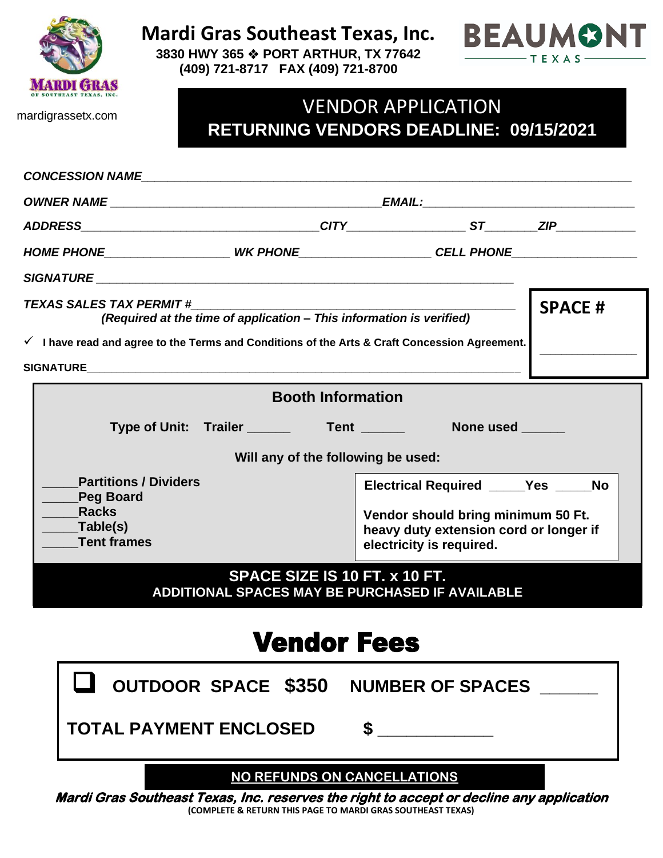

**Mardi Gras Southeast Texas, Inc.**





mardigrassetx.com

## VENDOR APPLICATION **RETURNING VENDORS DEADLINE: 09/15/2021**

| CONCESSION NAME <b>Annual Structure of the Second Structure of the Second Structure of the Second Structure of the Second Structure of the Second Structure of the Second Structure of the Second Structure of the Second Struct</b> |  |                                                                                         |                                |                                             |  |  |
|--------------------------------------------------------------------------------------------------------------------------------------------------------------------------------------------------------------------------------------|--|-----------------------------------------------------------------------------------------|--------------------------------|---------------------------------------------|--|--|
|                                                                                                                                                                                                                                      |  |                                                                                         |                                |                                             |  |  |
|                                                                                                                                                                                                                                      |  |                                                                                         |                                |                                             |  |  |
|                                                                                                                                                                                                                                      |  | HOME PHONE______________________WK PHONE_____________________CELL PHONE________________ |                                |                                             |  |  |
|                                                                                                                                                                                                                                      |  |                                                                                         |                                |                                             |  |  |
| <b>TEXAS SALES TAX PERMIT #</b><br>(Required at the time of application - This information is verified)<br>$\checkmark$ I have read and agree to the Terms and Conditions of the Arts & Craft Concession Agreement.                  |  |                                                                                         | <b>SPACE#</b>                  |                                             |  |  |
|                                                                                                                                                                                                                                      |  |                                                                                         |                                |                                             |  |  |
| <b>Booth Information</b>                                                                                                                                                                                                             |  |                                                                                         |                                |                                             |  |  |
|                                                                                                                                                                                                                                      |  |                                                                                         |                                | None used                                   |  |  |
|                                                                                                                                                                                                                                      |  |                                                                                         |                                |                                             |  |  |
| Will any of the following be used:                                                                                                                                                                                                   |  |                                                                                         |                                |                                             |  |  |
| <b>Partitions / Dividers</b><br><b>Peg Board</b>                                                                                                                                                                                     |  |                                                                                         |                                | Electrical Required _____Yes _____No        |  |  |
| <b>Racks</b>                                                                                                                                                                                                                         |  |                                                                                         |                                | Vendor should bring minimum 50 Ft.          |  |  |
| _Table(s)                                                                                                                                                                                                                            |  |                                                                                         |                                | heavy duty extension cord or longer if      |  |  |
| <b>Tent frames</b>                                                                                                                                                                                                                   |  | electricity is required.                                                                |                                |                                             |  |  |
| SPACE SIZE IS 10 FT. x 10 FT.<br>ADDITIONAL SPACES MAY BE PURCHASED IF AVAILABLE                                                                                                                                                     |  |                                                                                         |                                |                                             |  |  |
| <b>Vendor Fees</b>                                                                                                                                                                                                                   |  |                                                                                         |                                |                                             |  |  |
|                                                                                                                                                                                                                                      |  |                                                                                         |                                | <b>OUTDOOR SPACE \$350 NUMBER OF SPACES</b> |  |  |
| <b>TOTAL PAYMENT ENCLOSED</b>                                                                                                                                                                                                        |  |                                                                                         |                                |                                             |  |  |
|                                                                                                                                                                                                                                      |  |                                                                                         | 10.777111700011001107111770110 |                                             |  |  |

**NO REFUNDS ON CANCELLATIONS** 

**Mardi Gras Southeast Texas, Inc. reserves the right to accept or decline any application (COMPLETE & RETURN THIS PAGE TO MARDI GRAS SOUTHEAST TEXAS)**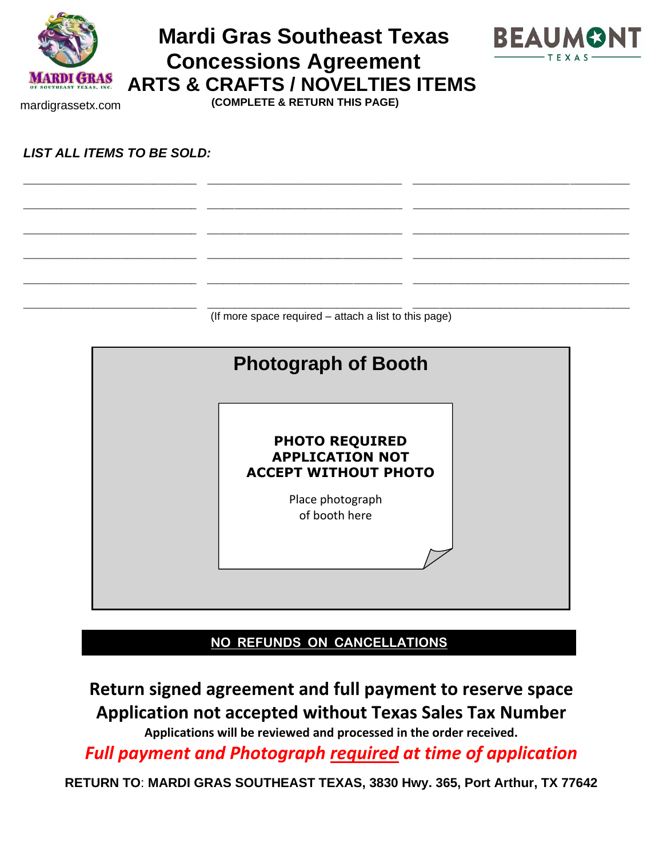

mardigrassetx.com

# **Mardi Gras Southeast Texas Concessions Agreement ARTS & CRAFTS / NOVELTIES ITEMS**



 **(COMPLETE & RETURN THIS PAGE)**

*LIST ALL ITEMS TO BE SOLD:*

\_\_\_\_\_\_\_\_\_\_\_\_\_\_\_\_\_\_\_\_\_\_\_\_\_\_\_\_\_\_\_\_ \_\_\_\_\_\_\_\_\_\_\_\_\_\_\_\_\_\_\_\_\_\_\_\_\_\_\_\_\_\_\_\_\_\_\_\_ \_\_\_\_\_\_\_\_\_\_\_\_\_\_\_\_\_\_\_\_\_\_\_\_\_\_\_\_\_\_\_\_\_\_\_\_\_\_\_\_ (If more space required – attach a list to this page)

\_\_\_\_\_\_\_\_\_\_\_\_\_\_\_\_\_\_\_\_\_\_\_\_\_\_\_\_\_\_\_\_ \_\_\_\_\_\_\_\_\_\_\_\_\_\_\_\_\_\_\_\_\_\_\_\_\_\_\_\_\_\_\_\_\_\_\_\_ \_\_\_\_\_\_\_\_\_\_\_\_\_\_\_\_\_\_\_\_\_\_\_\_\_\_\_\_\_\_\_\_\_\_\_\_\_\_\_\_

\_\_\_\_\_\_\_\_\_\_\_\_\_\_\_\_\_\_\_\_\_\_\_\_\_\_\_\_\_\_\_\_ \_\_\_\_\_\_\_\_\_\_\_\_\_\_\_\_\_\_\_\_\_\_\_\_\_\_\_\_\_\_\_\_\_\_\_\_ \_\_\_\_\_\_\_\_\_\_\_\_\_\_\_\_\_\_\_\_\_\_\_\_\_\_\_\_\_\_\_\_\_\_\_\_\_\_\_\_

\_\_\_\_\_\_\_\_\_\_\_\_\_\_\_\_\_\_\_\_\_\_\_\_\_\_\_\_\_\_\_\_ \_\_\_\_\_\_\_\_\_\_\_\_\_\_\_\_\_\_\_\_\_\_\_\_\_\_\_\_\_\_\_\_\_\_\_\_ \_\_\_\_\_\_\_\_\_\_\_\_\_\_\_\_\_\_\_\_\_\_\_\_\_\_\_\_\_\_\_\_\_\_\_\_\_\_\_\_

\_\_\_\_\_\_\_\_\_\_\_\_\_\_\_\_\_\_\_\_\_\_\_\_\_\_\_\_\_\_\_\_ \_\_\_\_\_\_\_\_\_\_\_\_\_\_\_\_\_\_\_\_\_\_\_\_\_\_\_\_\_\_\_\_\_\_\_\_ \_\_\_\_\_\_\_\_\_\_\_\_\_\_\_\_\_\_\_\_\_\_\_\_\_\_\_\_\_\_\_\_\_\_\_\_\_\_\_\_

\_\_\_\_\_\_\_\_\_\_\_\_\_\_\_\_\_\_\_\_\_\_\_\_\_\_\_\_\_\_\_\_ \_\_\_\_\_\_\_\_\_\_\_\_\_\_\_\_\_\_\_\_\_\_\_\_\_\_\_\_\_\_\_\_\_\_\_\_ \_\_\_\_\_\_\_\_\_\_\_\_\_\_\_\_\_\_\_\_\_\_\_\_\_\_\_\_\_\_\_\_\_\_\_\_\_\_\_\_

| <b>Photograph of Booth</b>                                                                                          |  |
|---------------------------------------------------------------------------------------------------------------------|--|
| <b>PHOTO REQUIRED</b><br><b>APPLICATION NOT</b><br><b>ACCEPT WITHOUT PHOTO</b><br>Place photograph<br>of booth here |  |
|                                                                                                                     |  |

**NO REFUNDS ON CANCELLATIONS** 

**Return signed agreement and full payment to reserve space Application not accepted without Texas Sales Tax Number**

**Applications will be reviewed and processed in the order received.**

*Full payment and Photograph required at time of application*

**RETURN TO**: **MARDI GRAS SOUTHEAST TEXAS, 3830 Hwy. 365, Port Arthur, TX 77642**